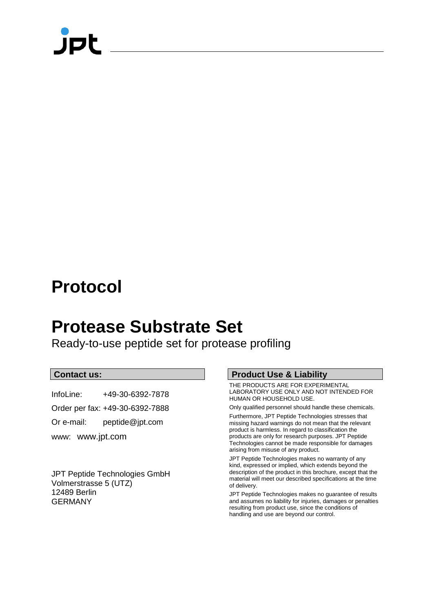## **Protocol**

## **Protease Substrate Set**

Ready-to-use peptide set for protease profiling

### **Contact us:**

InfoLine: +49-30-6392-7878

Order per fax: +49-30-6392-7888

Or e-mail: peptide@jpt.com

www: [www.jpt.com](http://www.jerini.com/)

JPT Peptide Technologies GmbH Volmerstrasse 5 (UTZ) 12489 Berlin GERMANY

### **Product Use & Liability**

THE PRODUCTS ARE FOR EXPERIMENTAL LABORATORY USE ONLY AND NOT INTENDED FOR HUMAN OR HOUSEHOLD USE.

Only qualified personnel should handle these chemicals.

Furthermore, JPT Peptide Technologies stresses that missing hazard warnings do not mean that the relevant product is harmless. In regard to classification the products are only for research purposes. JPT Peptide Technologies cannot be made responsible for damages arising from misuse of any product.

JPT Peptide Technologies makes no warranty of any kind, expressed or implied, which extends beyond the description of the product in this brochure, except that the material will meet our described specifications at the time of delivery.

JPT Peptide Technologies makes no guarantee of results and assumes no liability for injuries, damages or penalties resulting from product use, since the conditions of handling and use are beyond our control.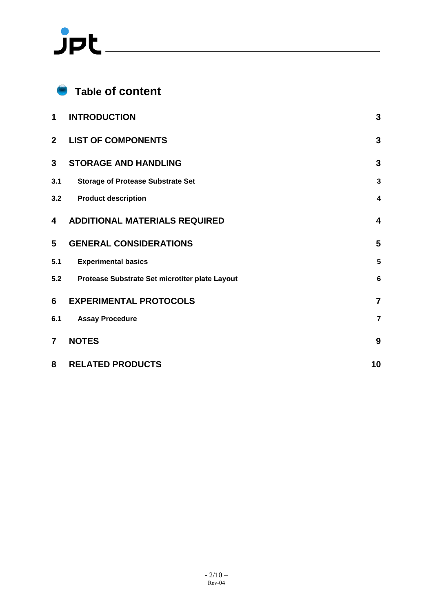# $JPL$

|                | <b>Table of content</b>                        |                         |
|----------------|------------------------------------------------|-------------------------|
| 1              | <b>INTRODUCTION</b>                            | 3                       |
| 2 <sup>1</sup> | <b>LIST OF COMPONENTS</b>                      | 3                       |
| 3              | <b>STORAGE AND HANDLING</b>                    | 3                       |
| 3.1            | <b>Storage of Protease Substrate Set</b>       | $\mathbf{3}$            |
| 3.2            | <b>Product description</b>                     | 4                       |
| 4              | <b>ADDITIONAL MATERIALS REQUIRED</b>           | $\overline{\mathbf{4}}$ |
| 5              | <b>GENERAL CONSIDERATIONS</b>                  | 5                       |
| 5.1            | <b>Experimental basics</b>                     | 5                       |
| 5.2            | Protease Substrate Set microtiter plate Layout | 6                       |
| 6              | <b>EXPERIMENTAL PROTOCOLS</b>                  | $\overline{7}$          |
| 6.1            | <b>Assay Procedure</b>                         | $\overline{7}$          |
| $\overline{7}$ | <b>NOTES</b>                                   | 9                       |
| 8              | <b>RELATED PRODUCTS</b>                        | 10                      |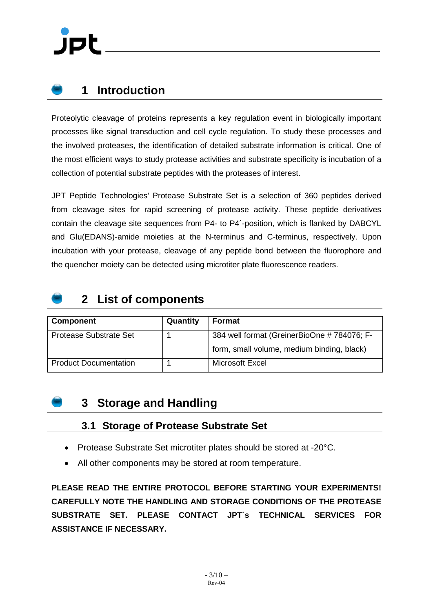### <span id="page-2-0"></span>**1 Introduction**

Proteolytic cleavage of proteins represents a key regulation event in biologically important processes like signal transduction and cell cycle regulation. To study these processes and the involved proteases, the identification of detailed substrate information is critical. One of the most efficient ways to study protease activities and substrate specificity is incubation of a collection of potential substrate peptides with the proteases of interest.

JPT Peptide Technologies' Protease Substrate Set is a selection of 360 peptides derived from cleavage sites for rapid screening of protease activity. These peptide derivatives contain the cleavage site sequences from P4- to P4´-position, which is flanked by DABCYL and Glu(EDANS)-amide moieties at the N-terminus and C-terminus, respectively. Upon incubation with your protease, cleavage of any peptide bond between the fluorophore and the quencher moiety can be detected using microtiter plate fluorescence readers.

### <span id="page-2-1"></span>**2 List of components**

| <b>Component</b>             | Quantity | <b>Format</b>                              |
|------------------------------|----------|--------------------------------------------|
| Protease Substrate Set       |          | 384 well format (GreinerBioOne #784076; F- |
|                              |          | form, small volume, medium binding, black) |
| <b>Product Documentation</b> |          | Microsoft Excel                            |

### <span id="page-2-2"></span>**3 Storage and Handling**

### <span id="page-2-3"></span>**3.1 Storage of Protease Substrate Set**

- Protease Substrate Set microtiter plates should be stored at -20°C.
- All other components may be stored at room temperature.

**PLEASE READ THE ENTIRE PROTOCOL BEFORE STARTING YOUR EXPERIMENTS! CAREFULLY NOTE THE HANDLING AND STORAGE CONDITIONS OF THE PROTEASE SUBSTRATE SET. PLEASE CONTACT JPT´s TECHNICAL SERVICES FOR ASSISTANCE IF NECESSARY.**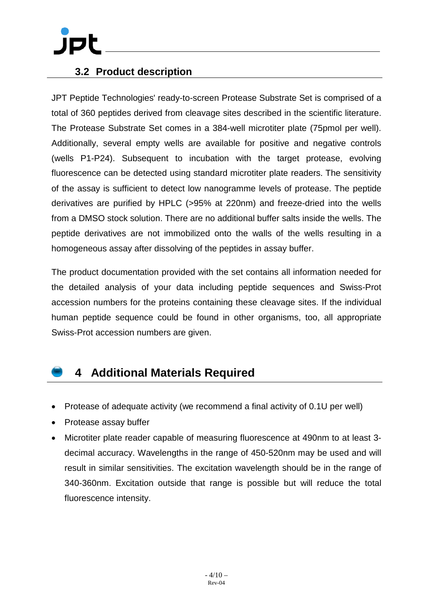### <span id="page-3-0"></span>**3.2 Product description**

JPT Peptide Technologies' ready-to-screen Protease Substrate Set is comprised of a total of 360 peptides derived from cleavage sites described in the scientific literature. The Protease Substrate Set comes in a 384-well microtiter plate (75pmol per well). Additionally, several empty wells are available for positive and negative controls (wells P1-P24). Subsequent to incubation with the target protease, evolving fluorescence can be detected using standard microtiter plate readers. The sensitivity of the assay is sufficient to detect low nanogramme levels of protease. The peptide derivatives are purified by HPLC (>95% at 220nm) and freeze-dried into the wells from a DMSO stock solution. There are no additional buffer salts inside the wells. The peptide derivatives are not immobilized onto the walls of the wells resulting in a homogeneous assay after dissolving of the peptides in assay buffer.

The product documentation provided with the set contains all information needed for the detailed analysis of your data including peptide sequences and Swiss-Prot accession numbers for the proteins containing these cleavage sites. If the individual human peptide sequence could be found in other organisms, too, all appropriate Swiss-Prot accession numbers are given.

### <span id="page-3-1"></span>**4 Additional Materials Required**

- Protease of adequate activity (we recommend a final activity of 0.1U per well)
- Protease assay buffer
- Microtiter plate reader capable of measuring fluorescence at 490nm to at least 3 decimal accuracy. Wavelengths in the range of 450-520nm may be used and will result in similar sensitivities. The excitation wavelength should be in the range of 340-360nm. Excitation outside that range is possible but will reduce the total fluorescence intensity.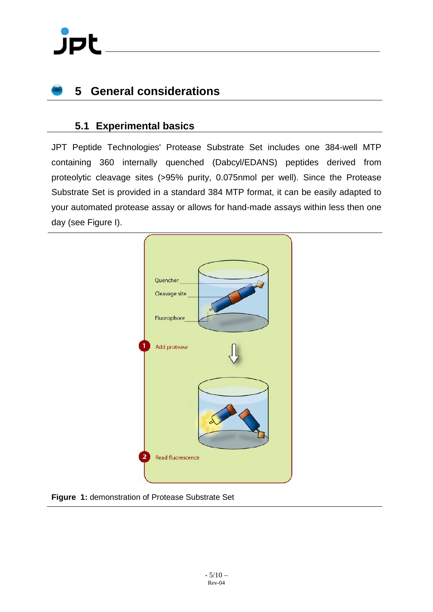# jpl

## <span id="page-4-0"></span>**5 General considerations**

### <span id="page-4-1"></span>**5.1 Experimental basics**

JPT Peptide Technologies' Protease Substrate Set includes one 384-well MTP containing 360 internally quenched (Dabcyl/EDANS) peptides derived from proteolytic cleavage sites (>95% purity, 0.075nmol per well). Since the Protease Substrate Set is provided in a standard 384 MTP format, it can be easily adapted to your automated protease assay or allows for hand-made assays within less then one day (see Figure I).



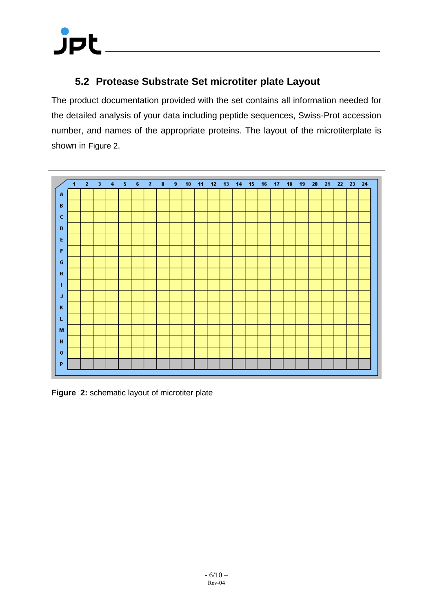# **JPL**

### <span id="page-5-0"></span>**5.2 Protease Substrate Set microtiter plate Layout**

The product documentation provided with the set contains all information needed for the detailed analysis of your data including peptide sequences, Swiss-Prot accession number, and names of the appropriate proteins. The layout of the microtiterplate is shown in [Figure 2.](#page-5-1)



<span id="page-5-1"></span>**Figure 2:** schematic layout of microtiter plate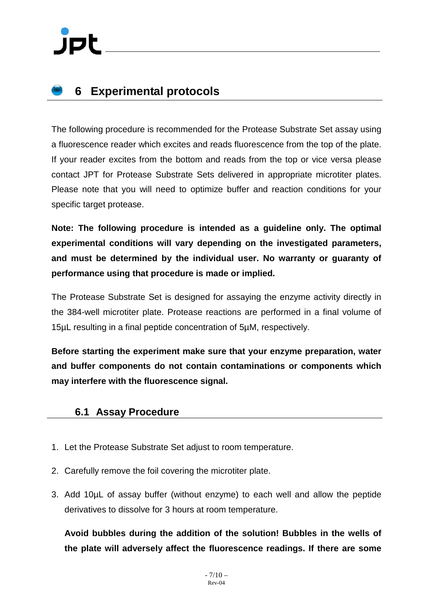## <span id="page-6-0"></span>**6 Experimental protocols**

The following procedure is recommended for the Protease Substrate Set assay using a fluorescence reader which excites and reads fluorescence from the top of the plate. If your reader excites from the bottom and reads from the top or vice versa please contact JPT for Protease Substrate Sets delivered in appropriate microtiter plates. Please note that you will need to optimize buffer and reaction conditions for your specific target protease.

**Note: The following procedure is intended as a guideline only. The optimal experimental conditions will vary depending on the investigated parameters, and must be determined by the individual user. No warranty or guaranty of performance using that procedure is made or implied.**

The Protease Substrate Set is designed for assaying the enzyme activity directly in the 384-well microtiter plate. Protease reactions are performed in a final volume of 15µL resulting in a final peptide concentration of 5µM, respectively.

**Before starting the experiment make sure that your enzyme preparation, water and buffer components do not contain contaminations or components which may interfere with the fluorescence signal.**

### <span id="page-6-1"></span>**6.1 Assay Procedure**

- 1. Let the Protease Substrate Set adjust to room temperature.
- 2. Carefully remove the foil covering the microtiter plate.
- 3. Add 10µL of assay buffer (without enzyme) to each well and allow the peptide derivatives to dissolve for 3 hours at room temperature.

**Avoid bubbles during the addition of the solution! Bubbles in the wells of the plate will adversely affect the fluorescence readings. If there are some**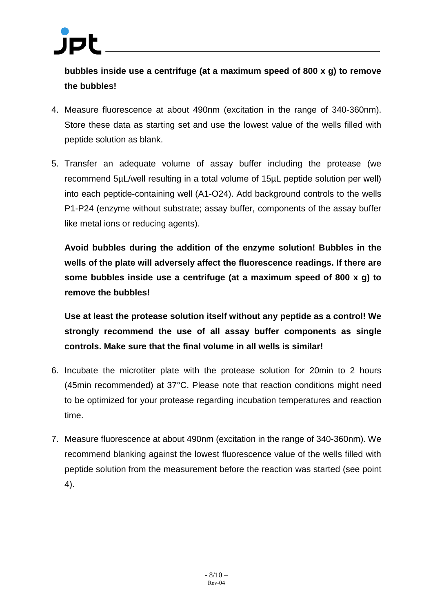**bubbles inside use a centrifuge (at a maximum speed of 800 x g) to remove the bubbles!**

- 4. Measure fluorescence at about 490nm (excitation in the range of 340-360nm). Store these data as starting set and use the lowest value of the wells filled with peptide solution as blank.
- 5. Transfer an adequate volume of assay buffer including the protease (we recommend 5µL/well resulting in a total volume of 15µL peptide solution per well) into each peptide-containing well (A1-O24). Add background controls to the wells P1-P24 (enzyme without substrate; assay buffer, components of the assay buffer like metal ions or reducing agents).

**Avoid bubbles during the addition of the enzyme solution! Bubbles in the wells of the plate will adversely affect the fluorescence readings. If there are some bubbles inside use a centrifuge (at a maximum speed of 800 x g) to remove the bubbles!**

**Use at least the protease solution itself without any peptide as a control! We strongly recommend the use of all assay buffer components as single controls. Make sure that the final volume in all wells is similar!**

- 6. Incubate the microtiter plate with the protease solution for 20min to 2 hours (45min recommended) at 37°C. Please note that reaction conditions might need to be optimized for your protease regarding incubation temperatures and reaction time.
- 7. Measure fluorescence at about 490nm (excitation in the range of 340-360nm). We recommend blanking against the lowest fluorescence value of the wells filled with peptide solution from the measurement before the reaction was started (see point 4).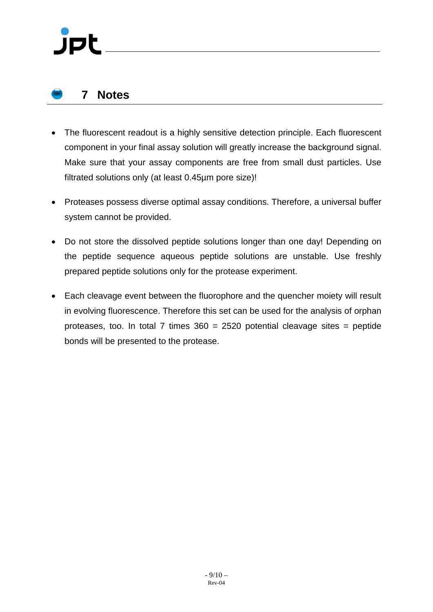### <span id="page-8-0"></span>**7 Notes**

- The fluorescent readout is a highly sensitive detection principle. Each fluorescent component in your final assay solution will greatly increase the background signal. Make sure that your assay components are free from small dust particles. Use filtrated solutions only (at least 0.45µm pore size)!
- Proteases possess diverse optimal assay conditions. Therefore, a universal buffer system cannot be provided.
- Do not store the dissolved peptide solutions longer than one day! Depending on the peptide sequence aqueous peptide solutions are unstable. Use freshly prepared peptide solutions only for the protease experiment.
- Each cleavage event between the fluorophore and the quencher moiety will result in evolving fluorescence. Therefore this set can be used for the analysis of orphan proteases, too. In total 7 times  $360 = 2520$  potential cleavage sites = peptide bonds will be presented to the protease.